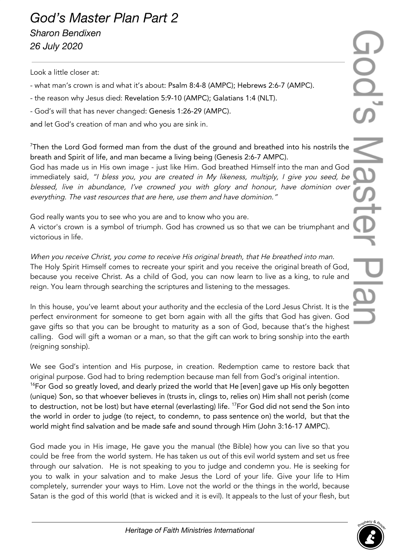Look a little closer at:

- what man's crown is and what it's about: Psalm 8:4-8 (AMPC); Hebrews 2:6-7 (AMPC).
- the reason why Jesus died: Revelation 5:9-10 (AMPC); Galatians 1:4 (NLT).
- God's will that has never changed: Genesis 1:26-29 (AMPC).

and let God's creation of man and who you are sink in.

 $7$ Then the Lord God formed man from the dust of the ground and breathed into his nostrils the breath and Spirit of life, and man became a living being (Genesis 2:6-7 AMPC).

God has made us in His own image - just like Him. God breathed Himself into the man and God immediately said, "I bless you, you are created in My likeness, multiply, <sup>I</sup> <sup>g</sup>ive you seed, be blessed, live in abundance, I've crowned you with glory and honour, have dominion over everything. The vast resources that are here, use them and have dominion."

God really wants you to see who you are and to know who you are.

A victor's crown is a symbol of triumph. God has crowned us so that we can be triumphant and victorious in life.

When you receive Christ, you come to receive His original breath, that He breathed into man. The Holy Spirit Himself comes to recreate your spirit and you receive the original breath of God, because you receive Christ. As a child of God, you can now learn to live as a king, to rule and reign. You learn through searching the scriptures and listening to the messages.

In this house, you've learnt about your authority and the ecclesia of the Lord Jesus Christ. It is the perfect environment for someone to get born again with all the gifts that God has given. God gave gifts so that you can be brought to maturity as a son of God, because that's the highest calling. God will gift a woman or a man, so that the gift can work to bring sonship into the earth (reigning sonship).

We see God's intention and His purpose, in creation. Redemption came to restore back that original purpose. God had to bring redemption because man fell from God's original intention. <sup>16</sup>For God so greatly loved, and dearly prized the world that He [even] gave up His only begotten (unique) Son, so that whoever believes in (trusts in, clings to, relies on) Him shall not perish (come to destruction, not be lost) but have eternal (everlasting) life. <sup>17</sup>For God did not send the Son into the world in order to judge (to reject, to condemn, to pass sentence on) the world, but that the world might find salvation and be made safe and sound through Him (John 3:16-17 AMPC).

God made you in His image, He gave you the manual (the Bible) how you can live so that you could be free from the world system. He has taken us out of this evil world system and set us free through our salvation. He is not speaking to you to judge and condemn you. He is seeking for you to walk in your salvation and to make Jesus the Lord of your life. Give your life to Him completely, surrender your ways to Him. Love not the world or the things in the world, because Satan is the god of this world (that is wicked and it is evil). It appeals to the lust of your flesh, but